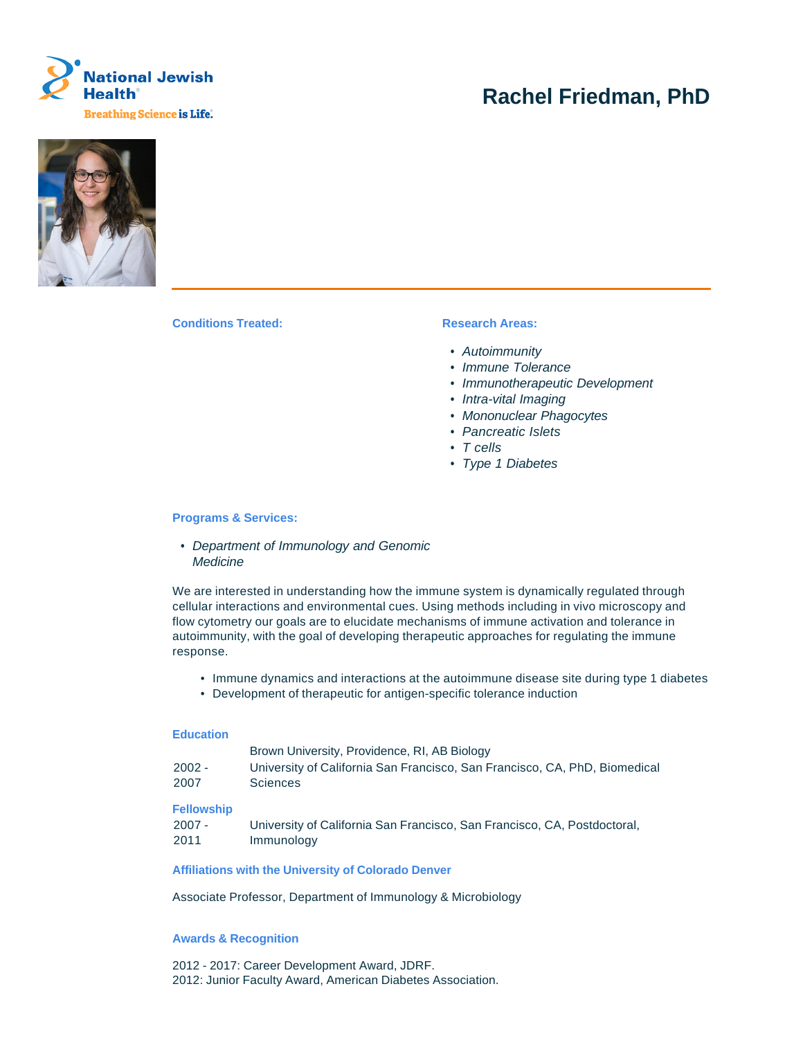

# **Rachel Friedman, PhD**



**Conditions Treated: Research Areas:** 

- Autoimmunity
- Immune Tolerance
- Immunotherapeutic Development
- Intra-vital Imaging
- Mononuclear Phagocytes
- Pancreatic Islets
- T cells
- Type 1 Diabetes

#### **Programs & Services:**

• Department of Immunology and Genomic **Medicine** 

We are interested in understanding how the immune system is dynamically regulated through cellular interactions and environmental cues. Using methods including in vivo microscopy and flow cytometry our goals are to elucidate mechanisms of immune activation and tolerance in autoimmunity, with the goal of developing therapeutic approaches for regulating the immune response.

- Immune dynamics and interactions at the autoimmune disease site during type 1 diabetes
- Development of therapeutic for antigen-specific tolerance induction

#### **Education**

| Brown University, Providence, RI, AB Biology                               |
|----------------------------------------------------------------------------|
| University of California San Francisco, San Francisco, CA, PhD, Biomedical |
| Sciences                                                                   |
|                                                                            |

## **Fellowship**

| $2007 -$ | University of California San Francisco, San Francisco, CA, Postdoctoral, |
|----------|--------------------------------------------------------------------------|
| 2011     | Immunology                                                               |

#### **Affiliations with the University of Colorado Denver**

Associate Professor, Department of Immunology & Microbiology

## **Awards & Recognition**

2012 - 2017: Career Development Award, JDRF. 2012: Junior Faculty Award, American Diabetes Association.